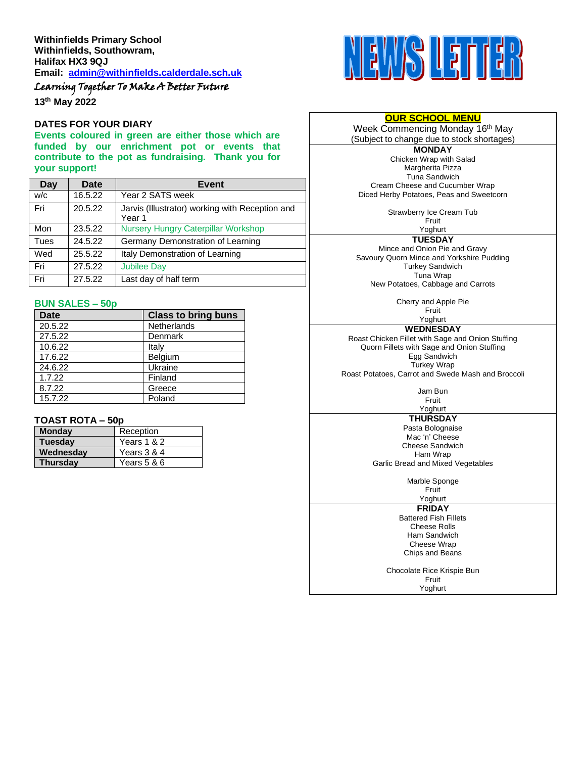# Learning Together To Make A Better Future

**13th May 2022**

#### **DATES FOR YOUR DIARY**

**Events coloured in green are either those which are funded by our enrichment pot or events that contribute to the pot as fundraising. Thank you for your support!**

| Day  | Date    | Event                                                     |  |
|------|---------|-----------------------------------------------------------|--|
| W/C  | 16.5.22 | Year 2 SATS week                                          |  |
| Fri  | 20.5.22 | Jarvis (Illustrator) working with Reception and<br>Year 1 |  |
| Mon  | 23.5.22 | <b>Nursery Hungry Caterpillar Workshop</b>                |  |
| Tues | 24.5.22 | Germany Demonstration of Learning                         |  |
| Wed  | 25.5.22 | Italy Demonstration of Learning                           |  |
| Fri  | 27.5.22 | <b>Jubilee Day</b>                                        |  |
| Fri  | 27.5.22 | Last day of half term                                     |  |

#### **BUN SALES – 50p**

| <b>Date</b> | <b>Class to bring buns</b> |
|-------------|----------------------------|
| 20.5.22     | Netherlands                |
| 27.5.22     | Denmark                    |
| 10.6.22     | Italy                      |
| 17.6.22     | Belgium                    |
| 24.6.22     | Ukraine                    |
| 1.7.22      | Finland                    |
| 8.7.22      | Greece                     |
| 15.7.22     | Poland                     |

#### **TOAST ROTA – 50p**

| <b>Monday</b>   | Reception   |  |
|-----------------|-------------|--|
| <b>Tuesday</b>  | Years 1 & 2 |  |
| Wednesdav       | Years 3 & 4 |  |
| <b>Thursdav</b> | Years 5 & 6 |  |



#### **OUR SCHOOL MENU**

Week Commencing Monday 16<sup>th</sup> May (Subject to change due to stock shortages)

**MONDAY** Chicken Wrap with Salad Margherita Pizza Tuna Sandwich Cream Cheese and Cucumber Wrap Diced Herby Potatoes, Peas and Sweetcorn

Strawberry Ice Cream Tub

Fruit Yoghurt

**TUESDAY**

Mince and Onion Pie and Gravy Savoury Quorn Mince and Yorkshire Pudding Turkey Sandwich Tuna Wrap New Potatoes, Cabbage and Carrots

> Cherry and Apple Pie Fruit

Yoghurt

**WEDNESDAY**

Roast Chicken Fillet with Sage and Onion Stuffing Quorn Fillets with Sage and Onion Stuffing Egg Sandwich Turkey Wrap Roast Potatoes, Carrot and Swede Mash and Broccoli

> Jam Bun Fruit

## Yoghurt

**THURSDAY** Pasta Bolognaise Mac 'n' Cheese Cheese Sandwich Ham Wrap Garlic Bread and Mixed Vegetables

Marble Sponge

Fruit Yoghurt

**FRIDAY**

Battered Fish Fillets Cheese Rolls Ham Sandwich Cheese Wrap Chips and Beans

Chocolate Rice Krispie Bun Fruit Yoghurt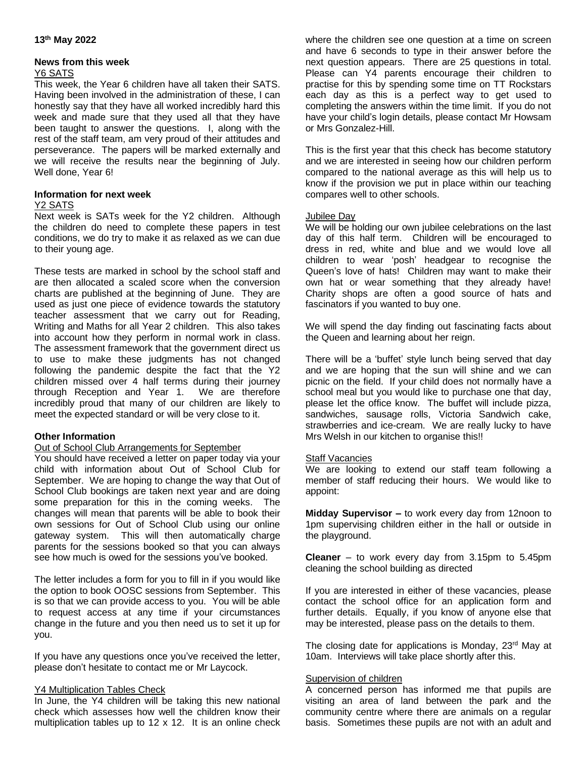#### **13th May 2022**

## **News from this week**

#### Y6 SATS

This week, the Year 6 children have all taken their SATS. Having been involved in the administration of these, I can honestly say that they have all worked incredibly hard this week and made sure that they used all that they have been taught to answer the questions. I, along with the rest of the staff team, am very proud of their attitudes and perseverance. The papers will be marked externally and we will receive the results near the beginning of July. Well done, Year 6!

#### **Information for next week**

### Y2 SATS

Next week is SATs week for the Y2 children. Although the children do need to complete these papers in test conditions, we do try to make it as relaxed as we can due to their young age.

These tests are marked in school by the school staff and are then allocated a scaled score when the conversion charts are published at the beginning of June. They are used as just one piece of evidence towards the statutory teacher assessment that we carry out for Reading, Writing and Maths for all Year 2 children. This also takes into account how they perform in normal work in class. The assessment framework that the government direct us to use to make these judgments has not changed following the pandemic despite the fact that the Y2 children missed over 4 half terms during their journey through Reception and Year 1. We are therefore incredibly proud that many of our children are likely to meet the expected standard or will be very close to it.

## **Other Information**

## Out of School Club Arrangements for September

You should have received a letter on paper today via your child with information about Out of School Club for September. We are hoping to change the way that Out of School Club bookings are taken next year and are doing some preparation for this in the coming weeks. The changes will mean that parents will be able to book their own sessions for Out of School Club using our online gateway system. This will then automatically charge parents for the sessions booked so that you can always see how much is owed for the sessions you've booked.

The letter includes a form for you to fill in if you would like the option to book OOSC sessions from September. This is so that we can provide access to you. You will be able to request access at any time if your circumstances change in the future and you then need us to set it up for you.

If you have any questions once you've received the letter, please don't hesitate to contact me or Mr Laycock.

#### Y4 Multiplication Tables Check

In June, the Y4 children will be taking this new national check which assesses how well the children know their multiplication tables up to 12 x 12. It is an online check where the children see one question at a time on screen and have 6 seconds to type in their answer before the next question appears. There are 25 questions in total. Please can Y4 parents encourage their children to practise for this by spending some time on TT Rockstars each day as this is a perfect way to get used to completing the answers within the time limit. If you do not have your child's login details, please contact Mr Howsam or Mrs Gonzalez-Hill.

This is the first year that this check has become statutory and we are interested in seeing how our children perform compared to the national average as this will help us to know if the provision we put in place within our teaching compares well to other schools.

#### Jubilee Day

We will be holding our own jubilee celebrations on the last day of this half term. Children will be encouraged to dress in red, white and blue and we would love all children to wear 'posh' headgear to recognise the Queen's love of hats! Children may want to make their own hat or wear something that they already have! Charity shops are often a good source of hats and fascinators if you wanted to buy one.

We will spend the day finding out fascinating facts about the Queen and learning about her reign.

There will be a 'buffet' style lunch being served that day and we are hoping that the sun will shine and we can picnic on the field. If your child does not normally have a school meal but you would like to purchase one that day, please let the office know. The buffet will include pizza, sandwiches, sausage rolls, Victoria Sandwich cake, strawberries and ice-cream. We are really lucky to have Mrs Welsh in our kitchen to organise this!!

## **Staff Vacancies**

We are looking to extend our staff team following a member of staff reducing their hours. We would like to appoint:

**Midday Supervisor –** to work every day from 12noon to 1pm supervising children either in the hall or outside in the playground.

**Cleaner** – to work every day from 3.15pm to 5.45pm cleaning the school building as directed

If you are interested in either of these vacancies, please contact the school office for an application form and further details. Equally, if you know of anyone else that may be interested, please pass on the details to them.

The closing date for applications is Monday, 23<sup>rd</sup> May at 10am. Interviews will take place shortly after this.

#### Supervision of children

A concerned person has informed me that pupils are visiting an area of land between the park and the community centre where there are animals on a regular basis. Sometimes these pupils are not with an adult and